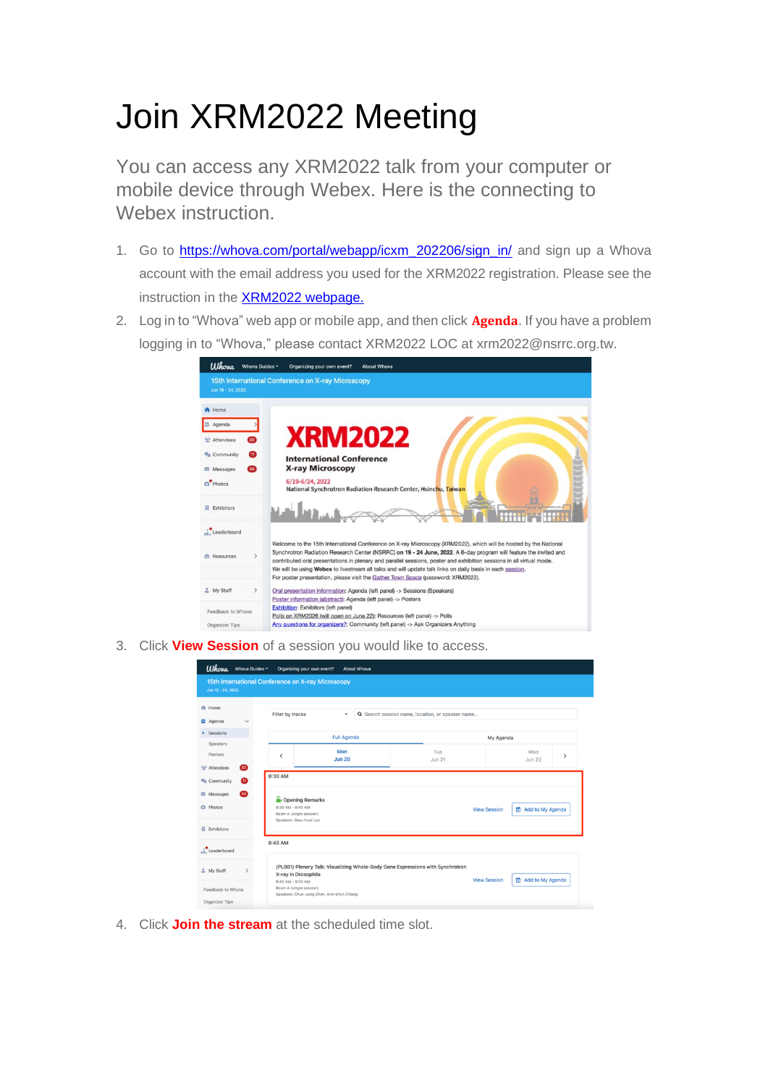## Join XRM2022 Meeting

You can access any XRM2022 talk from your computer or mobile device through Webex. Here is the connecting to Webex instruction.

- 1. Go to https://whova.com/portal/webapp/icxm 202206/sign in/ and sign up a Whova account with the email address you used for the XRM2022 registration. Please see the instruction in the **XRM2022 webpage.**
- 2. Log in to "Whova" web app or mobile app, and then click **Agenda**. If you have a problem logging in to "Whova," please contact XRM2022 LOC at xrm2022@nsrrc.org.tw.



3. Click **View Session** of a session you would like to access.

| <b>Whova</b>                     | Whova Guides - | Organizing your own event?                        | About Whova                               |                                                                                |                     |                                  |   |
|----------------------------------|----------------|---------------------------------------------------|-------------------------------------------|--------------------------------------------------------------------------------|---------------------|----------------------------------|---|
| Jun 19 - 24, 2022                |                | 15th International Conference on X-ray Microscopy |                                           |                                                                                |                     |                                  |   |
| <b>A</b> Home<br><b>首 Agenda</b> | $\checkmark$   | Filter by tracks                                  | ٠                                         | Q Search session name, location, or speaker name                               |                     |                                  |   |
| Sessions<br>٠                    |                |                                                   | <b>Full Agenda</b>                        |                                                                                | My Agenda           |                                  |   |
| Speakers<br>Posters              |                | $\overline{\phantom{a}}$                          | Mon                                       | Tue                                                                            |                     | Wed                              | > |
| <sup>2</sup> Attendees           | 60             |                                                   | <b>Jun 20</b>                             | <b>Jun 21</b>                                                                  |                     | <b>Jun 22</b>                    |   |
| Community                        | M              | 8:30 AM                                           |                                           |                                                                                |                     |                                  |   |
| Messages                         | 34             | Opening Remarks                                   |                                           |                                                                                |                     |                                  |   |
| <b>D</b> Photos                  |                | 8:30 AM - 8:45 AM<br>Room A (single session)      |                                           |                                                                                | <b>View Session</b> | 台 Add to My Agenda               |   |
| <b>同</b> Exhibitors              |                | Speakers: Gwo-Huei Luo                            |                                           |                                                                                |                     |                                  |   |
| Leaderboard                      |                | 8:45 AM                                           |                                           |                                                                                |                     |                                  |   |
| <sup>2</sup> My Stuff            |                | X-ray in Drosophila                               |                                           | (PL001) Plenary Talk: Visualizing Whole-Body Gene Expressions with Synchrotron | <b>View Session</b> |                                  |   |
| Feedback to Whova                |                | 8:45 AM - 9:30 AM<br>Room A (single session)      | Speakers: Chun-Jung Chen, Ann-Shyn Chiang |                                                                                |                     | <sup>(</sup> c) Add to My Agenda |   |
| Organizer Tips                   |                |                                                   |                                           |                                                                                |                     |                                  |   |

4. Click **Join the stream** at the scheduled time slot.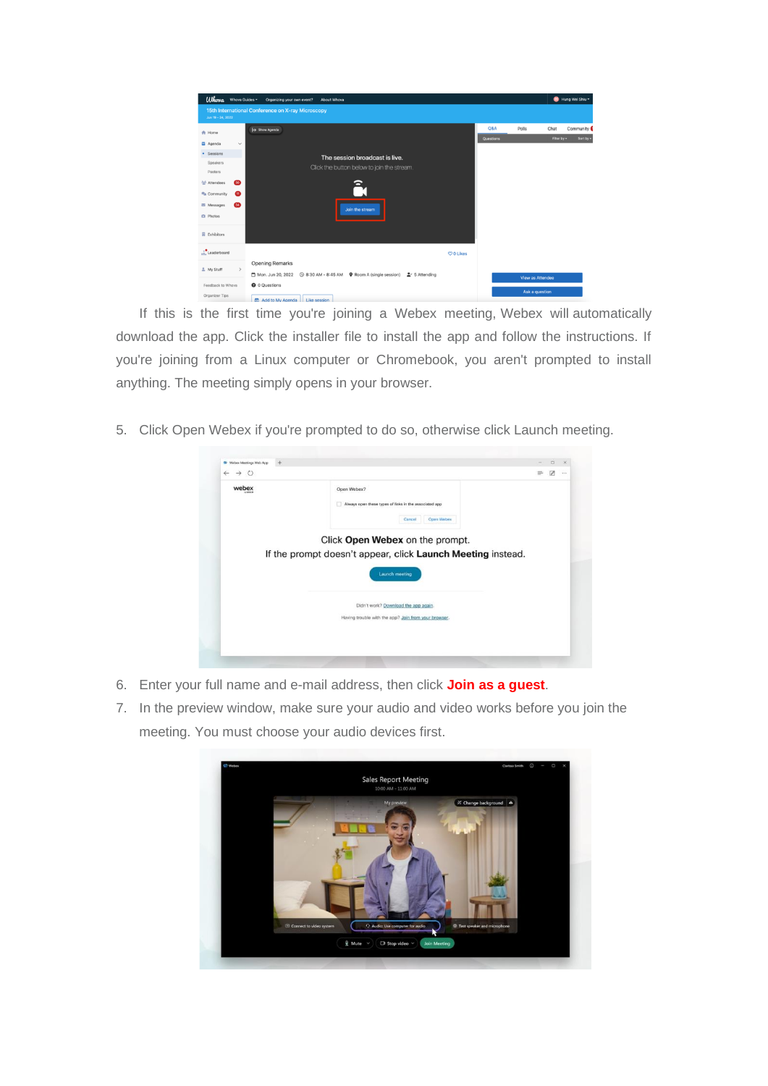| <b><i>Ulhova</i></b> Whova Guides -                                                                                                                                                                                                   | Organizing your own event?                         | About Whova                                                                                     |          |                  |                         |                     | Hung Wei Shiu ~        |
|---------------------------------------------------------------------------------------------------------------------------------------------------------------------------------------------------------------------------------------|----------------------------------------------------|-------------------------------------------------------------------------------------------------|----------|------------------|-------------------------|---------------------|------------------------|
| Jun 19 - 24, 2022                                                                                                                                                                                                                     | 15th International Conference on X-ray Microscopy  |                                                                                                 |          |                  |                         |                     |                        |
| <b>A</b> Home<br><b>凸</b> Agenda<br>$\checkmark$<br>· Sessions<br>Speakers<br><b>Posters</b><br>$\bullet$<br>2n <sup>1</sup> Attendees<br><sup>n</sup> a Community<br>⊕<br>⊕<br>图 Messages<br><b>El</b> Photos<br><b>目</b> Exhibitors | $\mapsto$ Show Agenda                              | The session broadcast is live.<br>Click the button below to join the stream.<br>Join the stream |          | Q&A<br>Questions | Polls                   | Chat<br>Filter by + | Community<br>Sort by * |
| Leaderboard<br>$\,$<br>2 My Stuff                                                                                                                                                                                                     | <b>Opening Remarks</b>                             |                                                                                                 | CO Likes |                  | <b>View as Attendee</b> |                     |                        |
| Feedback to Whova<br>Organizer Tips                                                                                                                                                                                                   | <b>O</b> 0 Questions<br>A statement of the control |                                                                                                 |          |                  | Ask a question          |                     |                        |

If this is the first time you're joining a Webex meeting, Webex will automatically download the app. Click the installer file to install the app and follow the instructions. If you're joining from a Linux computer or Chromebook, you aren't prompted to install anything. The meeting simply opens in your browser.

5. Click Open Webex if you're prompted to do so, otherwise click Launch meeting.

| webex | Open Webex?                                                 |  |
|-------|-------------------------------------------------------------|--|
|       | Always open these types of links in the associated app      |  |
|       | Open Webex<br>Cancel                                        |  |
|       | Click Open Webex on the prompt.                             |  |
|       | If the prompt doesn't appear, click Launch Meeting instead. |  |
|       |                                                             |  |
|       |                                                             |  |
|       | <b>Launch meeting</b>                                       |  |
|       |                                                             |  |
|       | Didn't work? Download the app again.                        |  |
|       | Having trouble with the app? Join from your browser.        |  |

- 6. Enter your full name and e-mail address, then click **Join as a guest**.
- 7. In the preview window, make sure your audio and video works before you join the meeting. You must choose your audio devices first.